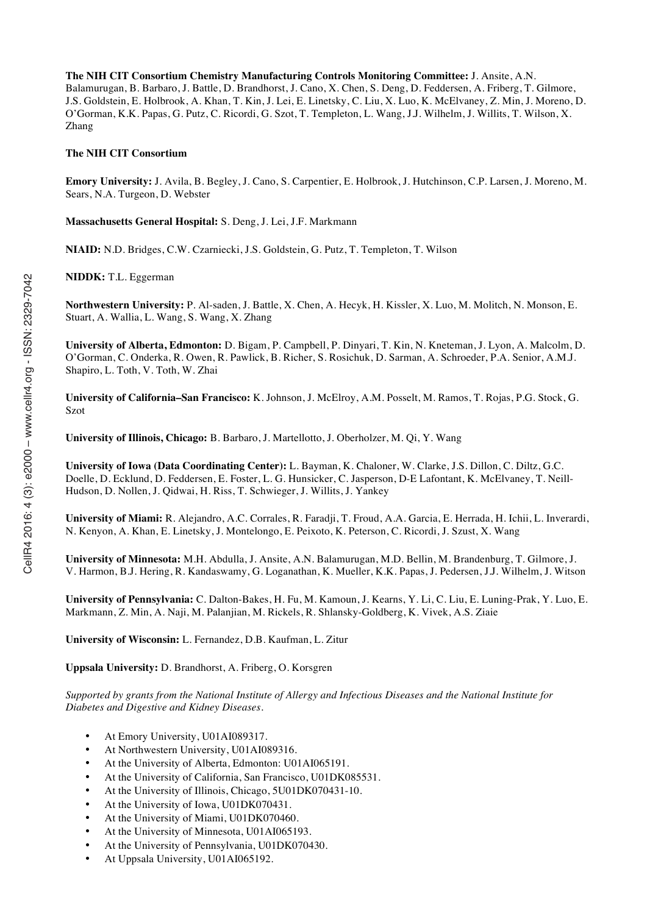**The NIH CIT Consortium Chemistry Manufacturing Controls Monitoring Committee:** J. Ansite, A.N. Balamurugan, B. Barbaro, J. Battle, D. Brandhorst, J. Cano, X. Chen, S. Deng, D. Feddersen, A. Friberg, T. Gilmore, J.S. Goldstein, E. Holbrook, A. Khan, T. Kin, J. Lei, E. Linetsky, C. Liu, X. Luo, K. McElvaney, Z. Min, J. Moreno, D. O'Gorman, K.K. Papas, G. Putz, C. Ricordi, G. Szot, T. Templeton, L. Wang, J.J. Wilhelm, J. Willits, T. Wilson, X. Zhang

#### **The NIH CIT Consortium**

**Emory University:** J. Avila, B. Begley, J. Cano, S. Carpentier, E. Holbrook, J. Hutchinson, C.P. Larsen, J. Moreno, M. Sears, N.A. Turgeon, D. Webster

**Massachusetts General Hospital:** S. Deng, J. Lei, J.F. Markmann

**NIAID:** N.D. Bridges, C.W. Czarniecki, J.S. Goldstein, G. Putz, T. Templeton, T. Wilson

**NIDDK:** T.L. Eggerman

**Northwestern University:** P. Al-saden, J. Battle, X. Chen, A. Hecyk, H. Kissler, X. Luo, M. Molitch, N. Monson, E. Stuart, A. Wallia, L. Wang, S. Wang, X. Zhang

**University of Alberta, Edmonton:** D. Bigam, P. Campbell, P. Dinyari, T. Kin, N. Kneteman, J. Lyon, A. Malcolm, D. O'Gorman, C. Onderka, R. Owen, R. Pawlick, B. Richer, S. Rosichuk, D. Sarman, A. Schroeder, P.A. Senior, A.M.J. Shapiro, L. Toth, V. Toth, W. Zhai

**University of California–San Francisco:** K. Johnson, J. McElroy, A.M. Posselt, M. Ramos, T. Rojas, P.G. Stock, G. Szot

**University of Illinois, Chicago:** B. Barbaro, J. Martellotto, J. Oberholzer, M. Qi, Y. Wang

**University of Iowa (Data Coordinating Center):** L. Bayman, K. Chaloner, W. Clarke, J.S. Dillon, C. Diltz, G.C. Doelle, D. Ecklund, D. Feddersen, E. Foster, L. G. Hunsicker, C. Jasperson, D-E Lafontant, K. McElvaney, T. Neill-Hudson, D. Nollen, J. Qidwai, H. Riss, T. Schwieger, J. Willits, J. Yankey

**University of Miami:** R. Alejandro, A.C. Corrales, R. Faradji, T. Froud, A.A. Garcia, E. Herrada, H. Ichii, L. Inverardi, N. Kenyon, A. Khan, E. Linetsky, J. Montelongo, E. Peixoto, K. Peterson, C. Ricordi, J. Szust, X. Wang

**University of Minnesota:** M.H. Abdulla, J. Ansite, A.N. Balamurugan, M.D. Bellin, M. Brandenburg, T. Gilmore, J. V. Harmon, B.J. Hering, R. Kandaswamy, G. Loganathan, K. Mueller, K.K. Papas, J. Pedersen, J.J. Wilhelm, J. Witson

**University of Pennsylvania:** C. Dalton-Bakes, H. Fu, M. Kamoun, J. Kearns, Y. Li, C. Liu, E. Luning-Prak, Y. Luo, E. Markmann, Z. Min, A. Naji, M. Palanjian, M. Rickels, R. Shlansky-Goldberg, K. Vivek, A.S. Ziaie

**University of Wisconsin:** L. Fernandez, D.B. Kaufman, L. Zitur

**Uppsala University:** D. Brandhorst, A. Friberg, O. Korsgren

*Supported by grants from the National Institute of Allergy and Infectious Diseases and the National Institute for Diabetes and Digestive and Kidney Diseases.*

- At Emory University, U01AI089317.
- At Northwestern University, U01AI089316.
- At the University of Alberta, Edmonton: U01AI065191.
- At the University of California, San Francisco, U01DK085531.
- At the University of Illinois, Chicago, 5U01DK070431-10.
- At the University of Iowa, U01DK070431.
- At the University of Miami, U01DK070460.
- At the University of Minnesota, U01AI065193.
- At the University of Pennsylvania, U01DK070430.
- At Uppsala University, U01AI065192.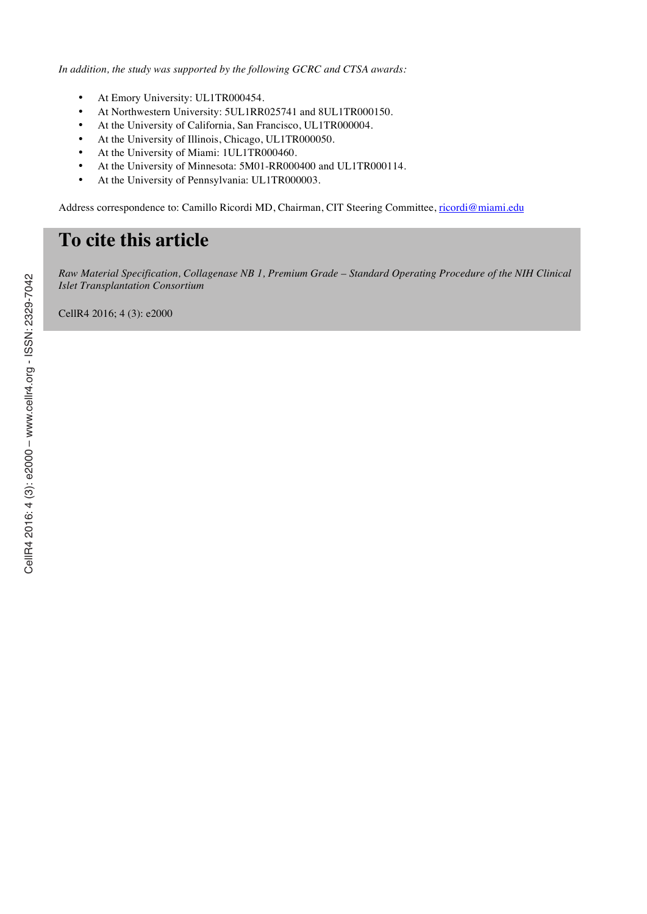*In addition, the study was supported by the following GCRC and CTSA awards:*

- At Emory University: UL1TR000454.
- At Northwestern University: 5UL1RR025741 and 8UL1TR000150.
- At the University of California, San Francisco, UL1TR000004.
- At the University of Illinois, Chicago, UL1TR000050.
- At the University of Miami: 1UL1TR000460.
- At the University of Minnesota: 5M01-RR000400 and UL1TR000114.
- At the University of Pennsylvania: UL1TR000003.

Address correspondence to: Camillo Ricordi MD, Chairman, CIT Steering Committee, ricordi@miami.edu

# **To cite this article**

*Raw Material Specification, Collagenase NB 1, Premium Grade – Standard Operating Procedure of the NIH Clinical Islet Transplantation Consortium*

CellR4 2016; 4 (3): e2000